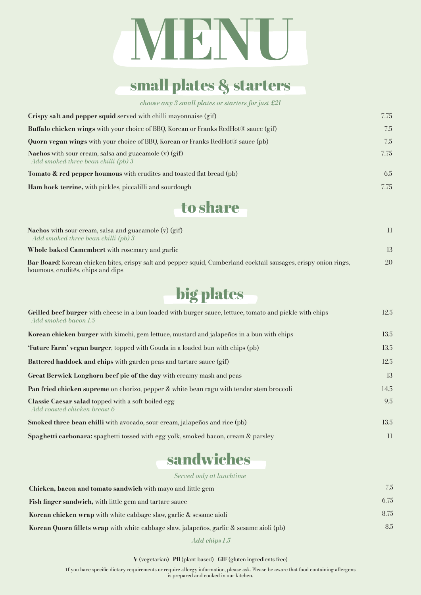# **MENU**

## small plates & starters

*choose any 3 small plates or starters for just £21*

| Crispy salt and pepper squid served with chilli mayonnaise (gif)                                      | 7.75 |
|-------------------------------------------------------------------------------------------------------|------|
| Buffalo chicken wings with your choice of BBQ, Korean or Franks RedHot <sup>®</sup> sauce (gif)       | 7.5  |
| <b>Quorn vegan wings</b> with your choice of BBQ, Korean or Franks RedHot <sup>®</sup> sauce (pb)     | 7.5  |
| <b>Nachos</b> with sour cream, salsa and guacamole $(v)$ (gif)<br>Add smoked three bean chilli (pb) 3 | 7.75 |
| <b>Tomato &amp; red pepper houmous</b> with crudites and toasted flat bread (pb)                      | 6.5  |
| Ham hock terrine, with pickles, piccalilli and sourdough                                              | 7.75 |



| <b>Nachos</b> with sour cream, salsa and guacamole $(v)$ (gif)<br>Add smoked three bean chilli $(pb)$ 3          |                 |
|------------------------------------------------------------------------------------------------------------------|-----------------|
| <b>Whole baked Camembert</b> with rosemary and garlic                                                            | 13 <sup>°</sup> |
| Bar Board: Korean chicken bites, crispy salt and pepper squid, Cumberland cocktail sausages, crispy onion rings, | 20              |
| houmous, crudités, chips and dips                                                                                |                 |

# big plates

| Grilled beef burger with cheese in a bun loaded with burger sauce, lettuce, tomato and pickle with chips<br>Add smoked bacon 1.5 | 12.5 |
|----------------------------------------------------------------------------------------------------------------------------------|------|
| <b>Korean chicken burger</b> with kimchi, gem lettuce, mustard and jalapeños in a bun with chips                                 | 13.5 |
| <b>'Future Farm' vegan burger</b> , topped with Gouda in a loaded bun with chips (pb)                                            | 13.5 |
| <b>Battered haddock and chips</b> with garden peas and tartare sauce (gif)                                                       | 12.5 |
| <b>Great Berwick Longhorn beef pie of the day with creamy mash and peas</b>                                                      | 13   |
| Pan fried chicken supreme on chorizo, pepper & white bean ragu with tender stem broccoli                                         | 14.5 |
| <b>Classic Caesar salad topped with a soft boiled egg</b><br>Add roasted chicken breast 6                                        | 9.5  |
| <b>Smoked three bean chilli</b> with avocado, sour cream, jalapeños and rice (pb)                                                | 13.5 |
| Spaghetti carbonara: spaghetti tossed with egg yolk, smoked bacon, cream & parsley                                               | 11   |

### sandwiches

*Served only at lunchtime*

| Chicken, bacon and tomato sandwich with mayo and little gem                              | 7.5  |
|------------------------------------------------------------------------------------------|------|
| Fish finger sandwich, with little gem and tartare sauce                                  | 6.75 |
| Korean chicken wrap with white cabbage slaw, garlic & sesame aioli                       | 8.75 |
| Korean Quorn fillets wrap with white cabbage slaw, jalapeños, garlic & sesame aioli (pb) | 8.5  |
| Add chips 1.5                                                                            |      |

**V** (vegetarian) **PB** (plant based) **GIF** (gluten ingredients free)